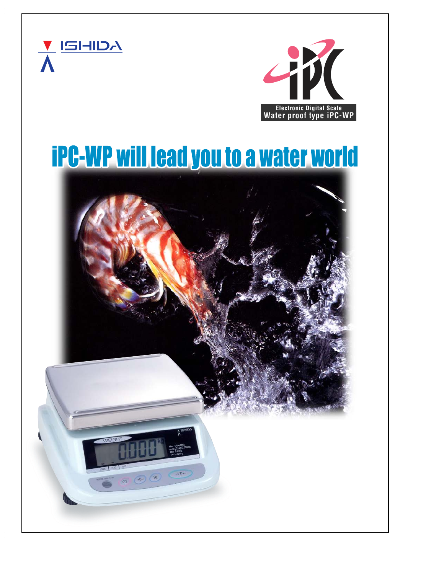